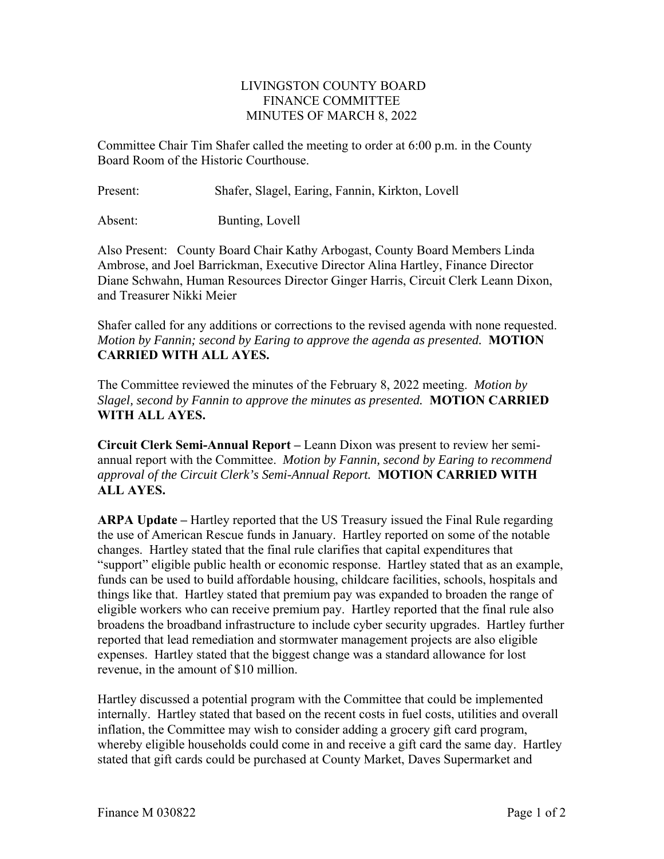## LIVINGSTON COUNTY BOARD FINANCE COMMITTEE MINUTES OF MARCH 8, 2022

Committee Chair Tim Shafer called the meeting to order at 6:00 p.m. in the County Board Room of the Historic Courthouse.

Present: Shafer, Slagel, Earing, Fannin, Kirkton, Lovell

Absent: Bunting, Lovell

Also Present: County Board Chair Kathy Arbogast, County Board Members Linda Ambrose, and Joel Barrickman, Executive Director Alina Hartley, Finance Director Diane Schwahn, Human Resources Director Ginger Harris, Circuit Clerk Leann Dixon, and Treasurer Nikki Meier

Shafer called for any additions or corrections to the revised agenda with none requested. *Motion by Fannin; second by Earing to approve the agenda as presented.* **MOTION CARRIED WITH ALL AYES.** 

The Committee reviewed the minutes of the February 8, 2022 meeting. *Motion by Slagel, second by Fannin to approve the minutes as presented.* **MOTION CARRIED WITH ALL AYES.** 

**Circuit Clerk Semi-Annual Report –** Leann Dixon was present to review her semiannual report with the Committee. *Motion by Fannin, second by Earing to recommend approval of the Circuit Clerk's Semi-Annual Report.* **MOTION CARRIED WITH ALL AYES.**

**ARPA Update –** Hartley reported that the US Treasury issued the Final Rule regarding the use of American Rescue funds in January. Hartley reported on some of the notable changes. Hartley stated that the final rule clarifies that capital expenditures that "support" eligible public health or economic response. Hartley stated that as an example, funds can be used to build affordable housing, childcare facilities, schools, hospitals and things like that. Hartley stated that premium pay was expanded to broaden the range of eligible workers who can receive premium pay. Hartley reported that the final rule also broadens the broadband infrastructure to include cyber security upgrades. Hartley further reported that lead remediation and stormwater management projects are also eligible expenses. Hartley stated that the biggest change was a standard allowance for lost revenue, in the amount of \$10 million.

Hartley discussed a potential program with the Committee that could be implemented internally. Hartley stated that based on the recent costs in fuel costs, utilities and overall inflation, the Committee may wish to consider adding a grocery gift card program, whereby eligible households could come in and receive a gift card the same day. Hartley stated that gift cards could be purchased at County Market, Daves Supermarket and